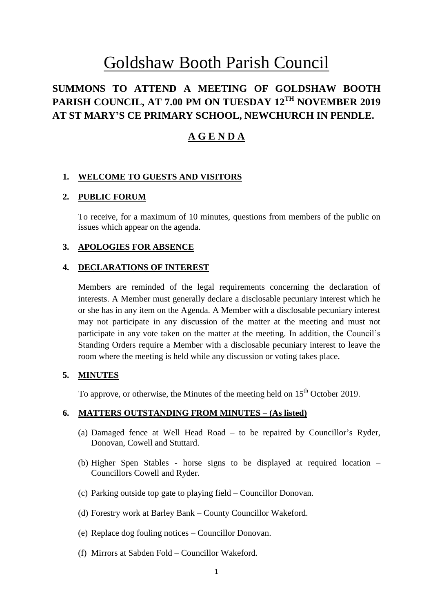# Goldshaw Booth Parish Council

# **SUMMONS TO ATTEND A MEETING OF GOLDSHAW BOOTH PARISH COUNCIL, AT 7.00 PM ON TUESDAY 12 TH NOVEMBER 2019 AT ST MARY'S CE PRIMARY SCHOOL, NEWCHURCH IN PENDLE.**

# **A G E N D A**

#### **1. WELCOME TO GUESTS AND VISITORS**

#### **2. PUBLIC FORUM**

To receive, for a maximum of 10 minutes, questions from members of the public on issues which appear on the agenda.

#### **3. APOLOGIES FOR ABSENCE**

#### **4. DECLARATIONS OF INTEREST**

Members are reminded of the legal requirements concerning the declaration of interests. A Member must generally declare a disclosable pecuniary interest which he or she has in any item on the Agenda. A Member with a disclosable pecuniary interest may not participate in any discussion of the matter at the meeting and must not participate in any vote taken on the matter at the meeting. In addition, the Council's Standing Orders require a Member with a disclosable pecuniary interest to leave the room where the meeting is held while any discussion or voting takes place.

# **5. MINUTES**

To approve, or otherwise, the Minutes of the meeting held on  $15<sup>th</sup>$  October 2019.

#### **6. MATTERS OUTSTANDING FROM MINUTES – (As listed)**

- (a) Damaged fence at Well Head Road to be repaired by Councillor's Ryder, Donovan, Cowell and Stuttard.
- (b) Higher Spen Stables horse signs to be displayed at required location Councillors Cowell and Ryder.
- (c) Parking outside top gate to playing field Councillor Donovan.
- (d) Forestry work at Barley Bank County Councillor Wakeford.
- (e) Replace dog fouling notices Councillor Donovan.
- (f) Mirrors at Sabden Fold Councillor Wakeford.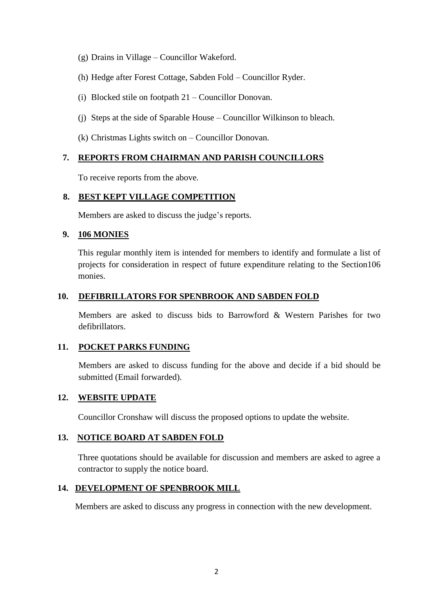- (g) Drains in Village Councillor Wakeford.
- (h) Hedge after Forest Cottage, Sabden Fold Councillor Ryder.
- (i) Blocked stile on footpath 21 Councillor Donovan.
- (j) Steps at the side of Sparable House Councillor Wilkinson to bleach.
- (k) Christmas Lights switch on Councillor Donovan.

# **7. REPORTS FROM CHAIRMAN AND PARISH COUNCILLORS**

To receive reports from the above.

# **8. BEST KEPT VILLAGE COMPETITION**

Members are asked to discuss the judge's reports.

# **9. 106 MONIES**

This regular monthly item is intended for members to identify and formulate a list of projects for consideration in respect of future expenditure relating to the Section106 monies.

# **10. DEFIBRILLATORS FOR SPENBROOK AND SABDEN FOLD**

Members are asked to discuss bids to Barrowford & Western Parishes for two defibrillators.

#### **11. POCKET PARKS FUNDING**

Members are asked to discuss funding for the above and decide if a bid should be submitted (Email forwarded).

# **12. WEBSITE UPDATE**

Councillor Cronshaw will discuss the proposed options to update the website.

# **13. NOTICE BOARD AT SABDEN FOLD**

Three quotations should be available for discussion and members are asked to agree a contractor to supply the notice board.

# **14. DEVELOPMENT OF SPENBROOK MILL**

Members are asked to discuss any progress in connection with the new development.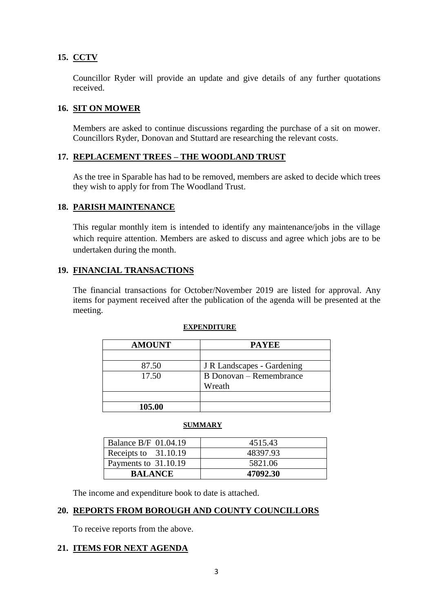# **15. CCTV**

Councillor Ryder will provide an update and give details of any further quotations received.

# **16. SIT ON MOWER**

Members are asked to continue discussions regarding the purchase of a sit on mower. Councillors Ryder, Donovan and Stuttard are researching the relevant costs.

# **17. REPLACEMENT TREES – THE WOODLAND TRUST**

As the tree in Sparable has had to be removed, members are asked to decide which trees they wish to apply for from The Woodland Trust.

# **18. PARISH MAINTENANCE**

This regular monthly item is intended to identify any maintenance/jobs in the village which require attention. Members are asked to discuss and agree which jobs are to be undertaken during the month.

# **19. FINANCIAL TRANSACTIONS**

The financial transactions for October/November 2019 are listed for approval. Any items for payment received after the publication of the agenda will be presented at the meeting.

| EXPENDITURE |  |
|-------------|--|
|             |  |

| <b>AMOUNT</b> | <b>PAYEE</b>               |
|---------------|----------------------------|
|               |                            |
| 87.50         | J R Landscapes - Gardening |
| 17.50         | B Donovan – Remembrance    |
|               | Wreath                     |
|               |                            |
| 105.00        |                            |

#### **SUMMARY**

| <b>Balance B/F 01.04.19</b> | 4515.43  |
|-----------------------------|----------|
| Receipts to 31.10.19        | 48397.93 |
| Payments to 31.10.19        | 5821.06  |
| <b>BALANCE</b>              | 47092.30 |

The income and expenditure book to date is attached.

#### **20. REPORTS FROM BOROUGH AND COUNTY COUNCILLORS**

To receive reports from the above.

# **21. ITEMS FOR NEXT AGENDA**